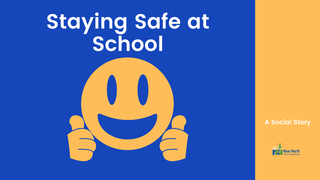## **Staying Safe at School**

#### **A Social Story**

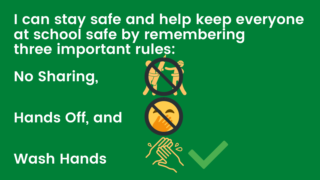**I can stay safe and help keep everyone at school safe by remembering three important rules:**

**No Sharing,**

#### **Hands Off, and**

#### **Wash Hands**



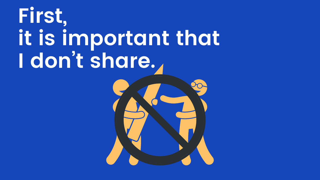## **First, it is important that I don 't share.**



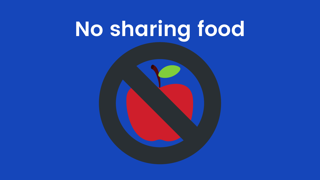### **No sharing food**

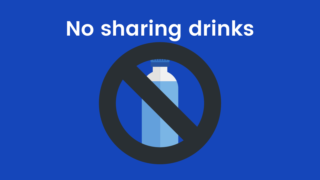## **No sharing drinks**

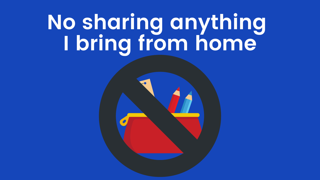### **No sharing anything I bring from home**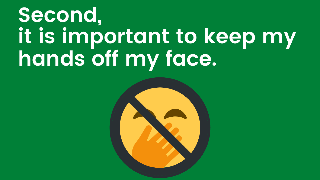#### **Second, it is important to keep my hands off my face.**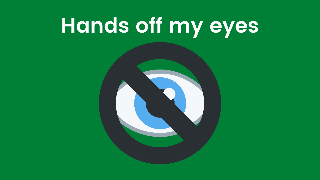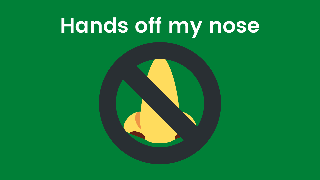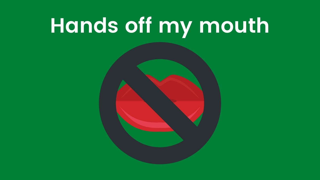### **Hands off my mouth**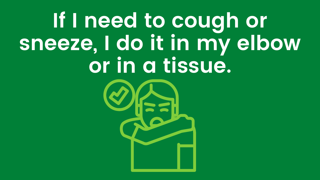#### **If I need to cough or sneeze, I do it in my elbow or in a tissue.**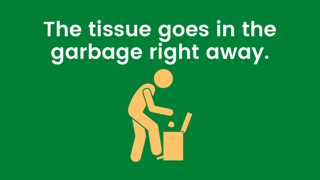## **The tissue goes in the garbage right away.**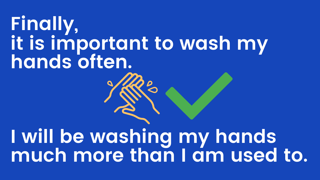# **Finally, it is important to wash my hands often. I will be washing my hands much more than I am used to.**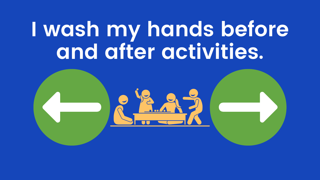#### **I wash my hands before and after activities.**

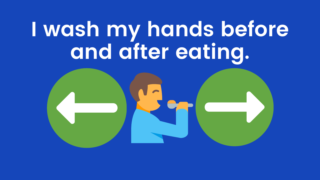## **I wash my hands before and after eating.**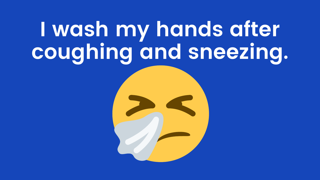## **I wash my hands after coughing and sneezing.**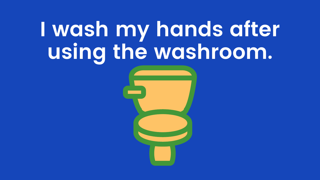## **I wash my hands after using the washroom.**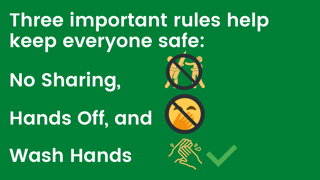#### **Three important rules help keep everyone safe:**

**No Sharing,**

**Hands Off, and**

**Wash Hands**